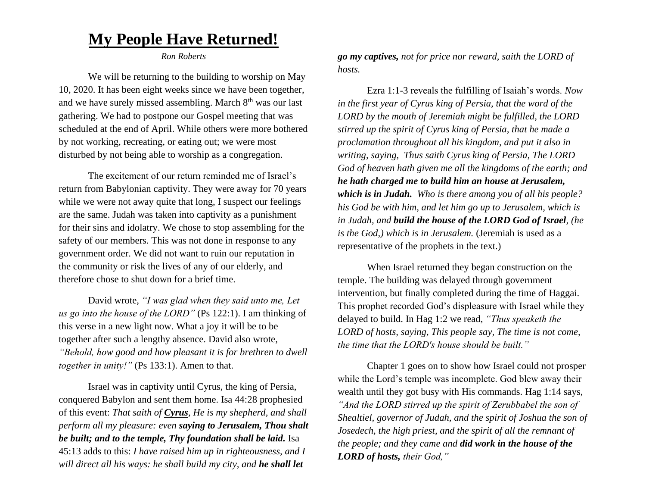## **My People Have Returned!**

*Ron Roberts*

We will be returning to the building to worship on May 10, 2020. It has been eight weeks since we have been together, and we have surely missed assembling. March  $8<sup>th</sup>$  was our last gathering. We had to postpone our Gospel meeting that was scheduled at the end of April. While others were more bothered by not working, recreating, or eating out; we were most disturbed by not being able to worship as a congregation.

The excitement of our return reminded me of Israel's return from Babylonian captivity. They were away for 70 years while we were not away quite that long, I suspect our feelings are the same. Judah was taken into captivity as a punishment for their sins and idolatry. We chose to stop assembling for the safety of our members. This was not done in response to any government order. We did not want to ruin our reputation in the community or risk the lives of any of our elderly, and therefore chose to shut down for a brief time.

David wrote, *"I was glad when they said unto me, Let us go into the house of the LORD"* (Ps 122:1). I am thinking of this verse in a new light now. What a joy it will be to be together after such a lengthy absence. David also wrote, *"Behold, how good and how pleasant it is for brethren to dwell together in unity!"* (Ps 133:1). Amen to that.

Israel was in captivity until Cyrus, the king of Persia, conquered Babylon and sent them home. Isa 44:28 prophesied of this event: *That saith of Cyrus, He is my shepherd, and shall perform all my pleasure: even saying to Jerusalem, Thou shalt be built; and to the temple, Thy foundation shall be laid.* Isa 45:13 adds to this: *I have raised him up in righteousness, and I will direct all his ways: he shall build my city, and he shall let* 

*go my captives, not for price nor reward, saith the LORD of hosts.*

Ezra 1:1-3 reveals the fulfilling of Isaiah's words. *Now in the first year of Cyrus king of Persia, that the word of the LORD by the mouth of Jeremiah might be fulfilled, the LORD stirred up the spirit of Cyrus king of Persia, that he made a proclamation throughout all his kingdom, and put it also in writing, saying, Thus saith Cyrus king of Persia, The LORD God of heaven hath given me all the kingdoms of the earth; and he hath charged me to build him an house at Jerusalem, which is in Judah. Who is there among you of all his people? his God be with him, and let him go up to Jerusalem, which is in Judah, and build the house of the LORD God of Israel, (he is the God,) which is in Jerusalem.* (Jeremiah is used as a representative of the prophets in the text.)

When Israel returned they began construction on the temple. The building was delayed through government intervention, but finally completed during the time of Haggai. This prophet recorded God's displeasure with Israel while they delayed to build. In Hag 1:2 we read, *"Thus speaketh the LORD of hosts, saying, This people say, The time is not come, the time that the LORD's house should be built."*

Chapter 1 goes on to show how Israel could not prosper while the Lord's temple was incomplete. God blew away their wealth until they got busy with His commands. Hag 1:14 says, *"And the LORD stirred up the spirit of Zerubbabel the son of Shealtiel, governor of Judah, and the spirit of Joshua the son of Josedech, the high priest, and the spirit of all the remnant of the people; and they came and did work in the house of the LORD of hosts, their God,"*